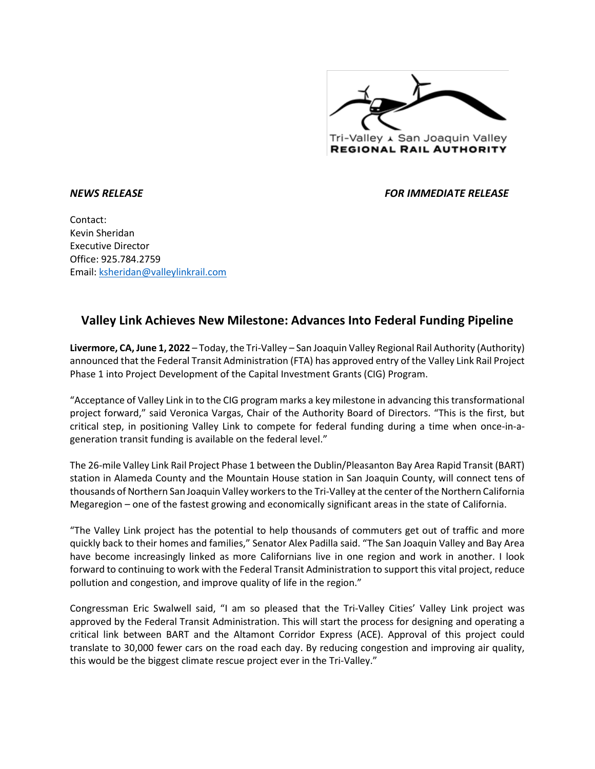

*NEWS RELEASE FOR IMMEDIATE RELEASE* 

Contact: Kevin Sheridan Executive Director Office: 925.784.2759 Email: [ksheridan@valleylinkrail.com](mailto:ksheridan@valleylinkrail.com)

## **Valley Link Achieves New Milestone: Advances Into Federal Funding Pipeline**

**Livermore, CA, June 1, 2022** – Today, the Tri-Valley – San Joaquin Valley Regional Rail Authority (Authority) announced that the Federal Transit Administration (FTA) has approved entry of the Valley Link Rail Project Phase 1 into Project Development of the Capital Investment Grants (CIG) Program.

"Acceptance of Valley Link in to the CIG program marks a key milestone in advancing this transformational project forward," said Veronica Vargas, Chair of the Authority Board of Directors. "This is the first, but critical step, in positioning Valley Link to compete for federal funding during a time when once-in-ageneration transit funding is available on the federal level."

The 26-mile Valley Link Rail Project Phase 1 between the Dublin/Pleasanton Bay Area Rapid Transit (BART) station in Alameda County and the Mountain House station in San Joaquin County, will connect tens of thousands of Northern San Joaquin Valley workers to the Tri-Valley at the center of the Northern California Megaregion – one of the fastest growing and economically significant areas in the state of California.

"The Valley Link project has the potential to help thousands of commuters get out of traffic and more quickly back to their homes and families," Senator Alex Padilla said. "The San Joaquin Valley and Bay Area have become increasingly linked as more Californians live in one region and work in another. I look forward to continuing to work with the Federal Transit Administration to support this vital project, reduce pollution and congestion, and improve quality of life in the region."

Congressman Eric Swalwell said, "I am so pleased that the Tri-Valley Cities' Valley Link project was approved by the Federal Transit Administration. This will start the process for designing and operating a critical link between BART and the Altamont Corridor Express (ACE). Approval of this project could translate to 30,000 fewer cars on the road each day. By reducing congestion and improving air quality, this would be the biggest climate rescue project ever in the Tri-Valley."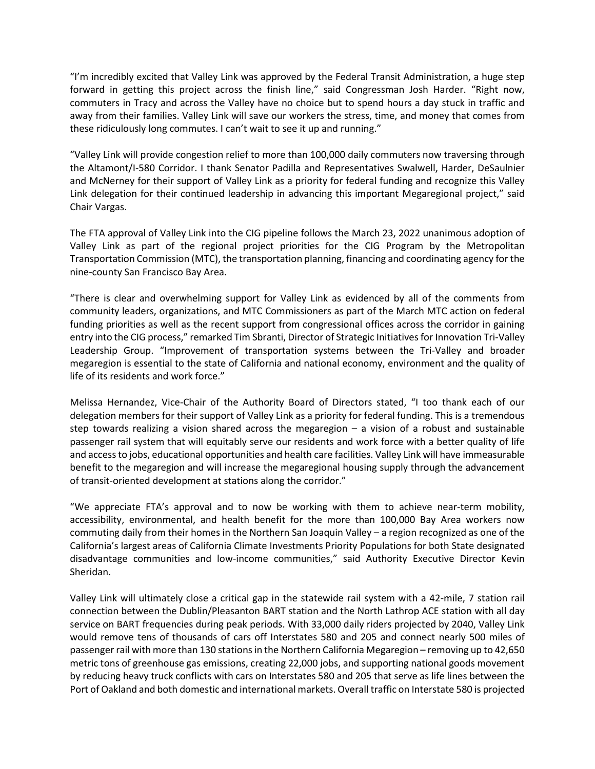"I'm incredibly excited that Valley Link was approved by the Federal Transit Administration, a huge step forward in getting this project across the finish line," said Congressman Josh Harder. "Right now, commuters in Tracy and across the Valley have no choice but to spend hours a day stuck in traffic and away from their families. Valley Link will save our workers the stress, time, and money that comes from these ridiculously long commutes. I can't wait to see it up and running."

"Valley Link will provide congestion relief to more than 100,000 daily commuters now traversing through the Altamont/I-580 Corridor. I thank Senator Padilla and Representatives Swalwell, Harder, DeSaulnier and McNerney for their support of Valley Link as a priority for federal funding and recognize this Valley Link delegation for their continued leadership in advancing this important Megaregional project," said Chair Vargas.

The FTA approval of Valley Link into the CIG pipeline follows the March 23, 2022 unanimous adoption of Valley Link as part of the regional project priorities for the CIG Program by the Metropolitan Transportation Commission (MTC), the transportation planning, financing and coordinating agency for the nine-county San Francisco Bay Area.

"There is clear and overwhelming support for Valley Link as evidenced by all of the comments from community leaders, organizations, and MTC Commissioners as part of the March MTC action on federal funding priorities as well as the recent support from congressional offices across the corridor in gaining entry into the CIG process," remarked Tim Sbranti, Director of Strategic Initiatives for Innovation Tri-Valley Leadership Group. "Improvement of transportation systems between the Tri-Valley and broader megaregion is essential to the state of California and national economy, environment and the quality of life of its residents and work force."

Melissa Hernandez, Vice-Chair of the Authority Board of Directors stated, "I too thank each of our delegation members for their support of Valley Link as a priority for federal funding. This is a tremendous step towards realizing a vision shared across the megaregion – a vision of a robust and sustainable passenger rail system that will equitably serve our residents and work force with a better quality of life and access to jobs, educational opportunities and health care facilities. Valley Link will have immeasurable benefit to the megaregion and will increase the megaregional housing supply through the advancement of transit-oriented development at stations along the corridor."

"We appreciate FTA's approval and to now be working with them to achieve near-term mobility, accessibility, environmental, and health benefit for the more than 100,000 Bay Area workers now commuting daily from their homes in the Northern San Joaquin Valley – a region recognized as one of the California's largest areas of California Climate Investments Priority Populations for both State designated disadvantage communities and low-income communities," said Authority Executive Director Kevin Sheridan.

Valley Link will ultimately close a critical gap in the statewide rail system with a 42-mile, 7 station rail connection between the Dublin/Pleasanton BART station and the North Lathrop ACE station with all day service on BART frequencies during peak periods. With 33,000 daily riders projected by 2040, Valley Link would remove tens of thousands of cars off Interstates 580 and 205 and connect nearly 500 miles of passenger rail with more than 130 stations in the Northern California Megaregion – removing up to 42,650 metric tons of greenhouse gas emissions, creating 22,000 jobs, and supporting national goods movement by reducing heavy truck conflicts with cars on Interstates 580 and 205 that serve as life lines between the Port of Oakland and both domestic and international markets. Overall traffic on Interstate 580 is projected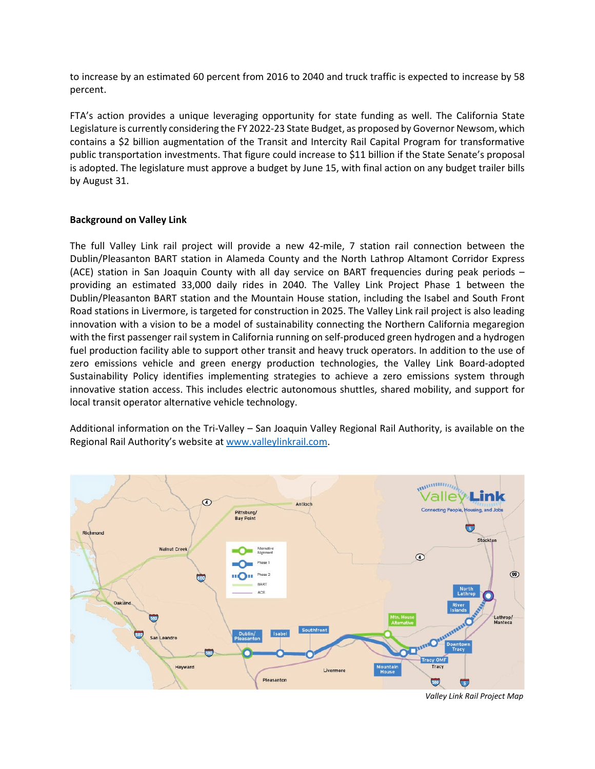to increase by an estimated 60 percent from 2016 to 2040 and truck traffic is expected to increase by 58 percent.

FTA's action provides a unique leveraging opportunity for state funding as well. The California State Legislature is currently considering the FY 2022-23 State Budget, as proposed by Governor Newsom, which contains a \$2 billion augmentation of the Transit and Intercity Rail Capital Program for transformative public transportation investments. That figure could increase to \$11 billion if the State Senate's proposal is adopted. The legislature must approve a budget by June 15, with final action on any budget trailer bills by August 31.

## **Background on Valley Link**

The full Valley Link rail project will provide a new 42-mile, 7 station rail connection between the Dublin/Pleasanton BART station in Alameda County and the North Lathrop Altamont Corridor Express (ACE) station in San Joaquin County with all day service on BART frequencies during peak periods – providing an estimated 33,000 daily rides in 2040. The Valley Link Project Phase 1 between the Dublin/Pleasanton BART station and the Mountain House station, including the Isabel and South Front Road stations in Livermore, is targeted for construction in 2025. The Valley Link rail project is also leading innovation with a vision to be a model of sustainability connecting the Northern California megaregion with the first passenger rail system in California running on self-produced green hydrogen and a hydrogen fuel production facility able to support other transit and heavy truck operators. In addition to the use of zero emissions vehicle and green energy production technologies, the Valley Link Board-adopted Sustainability Policy identifies implementing strategies to achieve a zero emissions system through innovative station access. This includes electric autonomous shuttles, shared mobility, and support for local transit operator alternative vehicle technology.

Additional information on the Tri-Valley – San Joaquin Valley Regional Rail Authority, is available on the Regional Rail Authority's website at [www.valleylinkrail.com.](http://www.valleylinkrail.com/)



*Valley Link Rail Project Map*